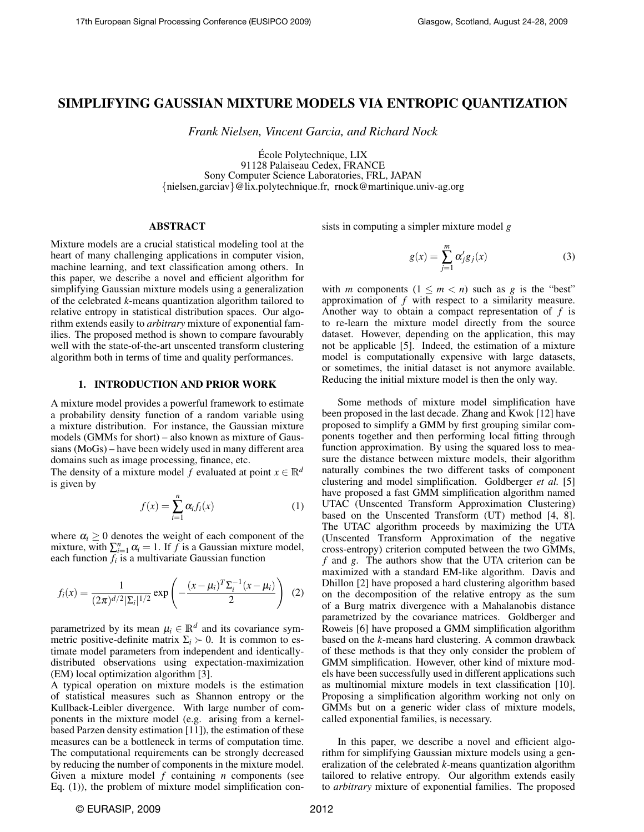# SIMPLIFYING GAUSSIAN MIXTURE MODELS VIA ENTROPIC QUANTIZATION

*Frank Nielsen, Vincent Garcia, and Richard Nock*

Ecole Polytechnique, LIX ´ 91128 Palaiseau Cedex, FRANCE Sony Computer Science Laboratories, FRL, JAPAN {nielsen,garciav}@lix.polytechnique.fr, rnock@martinique.univ-ag.org

# ABSTRACT

Mixture models are a crucial statistical modeling tool at the heart of many challenging applications in computer vision, machine learning, and text classification among others. In this paper, we describe a novel and efficient algorithm for simplifying Gaussian mixture models using a generalization of the celebrated *k*-means quantization algorithm tailored to relative entropy in statistical distribution spaces. Our algorithm extends easily to *arbitrary* mixture of exponential families. The proposed method is shown to compare favourably well with the state-of-the-art unscented transform clustering algorithm both in terms of time and quality performances.

# 1. INTRODUCTION AND PRIOR WORK

A mixture model provides a powerful framework to estimate a probability density function of a random variable using a mixture distribution. For instance, the Gaussian mixture models (GMMs for short) – also known as mixture of Gaussians (MoGs) – have been widely used in many different area domains such as image processing, finance, etc.

The density of a mixture model *f* evaluated at point  $x \in \mathbb{R}^d$ is given by

$$
f(x) = \sum_{i=1}^{n} \alpha_i f_i(x) \tag{1}
$$

where  $\alpha_i \geq 0$  denotes the weight of each component of the mixture, with  $\sum_{i=1}^{n} \alpha_i = 1$ . If *f* is a Gaussian mixture model, each function *f<sup>i</sup>* is a multivariate Gaussian function

$$
f_i(x) = \frac{1}{(2\pi)^{d/2} |\Sigma_i|^{1/2}} \exp\left(-\frac{(x-\mu_i)^T \Sigma_i^{-1} (x-\mu_i)}{2}\right) (2)
$$

parametrized by its mean  $\mu_i \in \mathbb{R}^d$  and its covariance symmetric positive-definite matrix  $\Sigma_i \succ 0$ . It is common to estimate model parameters from independent and identicallydistributed observations using expectation-maximization (EM) local optimization algorithm [3].

A typical operation on mixture models is the estimation of statistical measures such as Shannon entropy or the Kullback-Leibler divergence. With large number of components in the mixture model (e.g. arising from a kernelbased Parzen density estimation [11]), the estimation of these measures can be a bottleneck in terms of computation time. The computational requirements can be strongly decreased by reducing the number of components in the mixture model. Given a mixture model *f* containing *n* components (see Eq. (1)), the problem of mixture model simplification consists in computing a simpler mixture model *g*

$$
g(x) = \sum_{j=1}^{m} \alpha'_j g_j(x) \tag{3}
$$

with *m* components  $(1 \le m < n)$  such as *g* is the "best" approximation of *f* with respect to a similarity measure. Another way to obtain a compact representation of *f* is to re-learn the mixture model directly from the source dataset. However, depending on the application, this may not be applicable [5]. Indeed, the estimation of a mixture model is computationally expensive with large datasets, or sometimes, the initial dataset is not anymore available. Reducing the initial mixture model is then the only way.

Some methods of mixture model simplification have been proposed in the last decade. Zhang and Kwok [12] have proposed to simplify a GMM by first grouping similar components together and then performing local fitting through function approximation. By using the squared loss to measure the distance between mixture models, their algorithm naturally combines the two different tasks of component clustering and model simplification. Goldberger *et al.* [5] have proposed a fast GMM simplification algorithm named UTAC (Unscented Transform Approximation Clustering) based on the Unscented Transform (UT) method [4, 8]. The UTAC algorithm proceeds by maximizing the UTA (Unscented Transform Approximation of the negative cross-entropy) criterion computed between the two GMMs, *f* and *g*. The authors show that the UTA criterion can be maximized with a standard EM-like algorithm. Davis and Dhillon [2] have proposed a hard clustering algorithm based on the decomposition of the relative entropy as the sum of a Burg matrix divergence with a Mahalanobis distance parametrized by the covariance matrices. Goldberger and Roweis [6] have proposed a GMM simplification algorithm based on the *k*-means hard clustering. A common drawback of these methods is that they only consider the problem of GMM simplification. However, other kind of mixture models have been successfully used in different applications such as multinomial mixture models in text classification [10]. Proposing a simplification algorithm working not only on GMMs but on a generic wider class of mixture models, called exponential families, is necessary.

In this paper, we describe a novel and efficient algorithm for simplifying Gaussian mixture models using a generalization of the celebrated *k*-means quantization algorithm tailored to relative entropy. Our algorithm extends easily to *arbitrary* mixture of exponential families. The proposed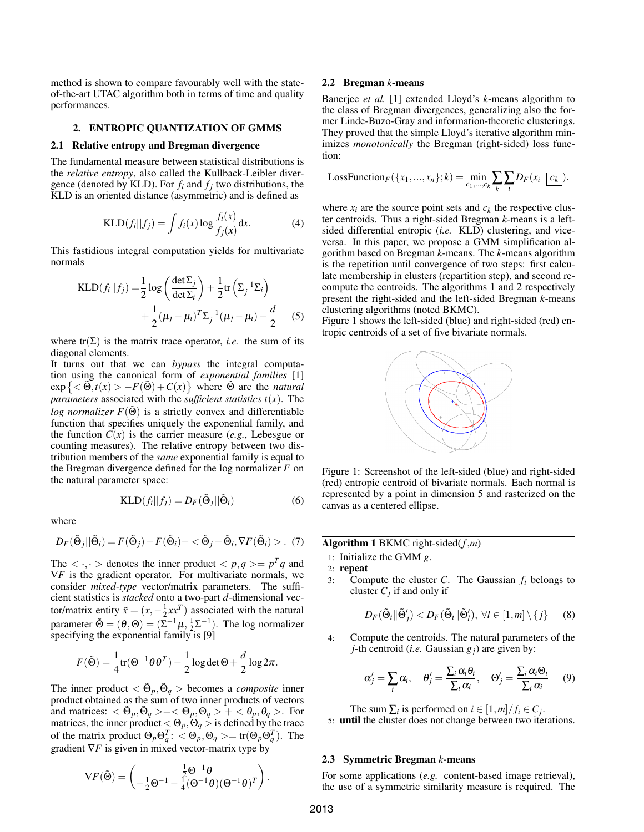method is shown to compare favourably well with the stateof-the-art UTAC algorithm both in terms of time and quality performances.

# 2. ENTROPIC QUANTIZATION OF GMMS

#### 2.1 Relative entropy and Bregman divergence

The fundamental measure between statistical distributions is the *relative entropy*, also called the Kullback-Leibler divergence (denoted by KLD). For  $f_i$  and  $f_j$  two distributions, the KLD is an oriented distance (asymmetric) and is defined as

$$
KLD(fi||fj) = \int fi(x) \log \frac{fi(x)}{fj(x)} dx.
$$
 (4)

This fastidious integral computation yields for multivariate normals

$$
KLD(fi||fj) = \frac{1}{2}\log\left(\frac{\det\Sigma_j}{\det\Sigma_i}\right) + \frac{1}{2}\text{tr}\left(\Sigma_j^{-1}\Sigma_i\right) + \frac{1}{2}(\mu_j - \mu_i)^T\Sigma_j^{-1}(\mu_j - \mu_i) - \frac{d}{2}
$$
(5)

where  $tr(\Sigma)$  is the matrix trace operator, *i.e.* the sum of its diagonal elements.

It turns out that we can *bypass* the integral computation using the canonical form of *exponential families* [1]  $\exp \left\{ <\tilde{\Theta}, t(x) > -F(\tilde{\Theta}) + C(x) \right\}$  where  $\tilde{\Theta}$  are the *natural parameters* associated with the *sufficient statistics*  $t(x)$ . The *log normalizer*  $F(\tilde{\Theta})$  is a strictly convex and differentiable function that specifies uniquely the exponential family, and the function  $C(x)$  is the carrier measure (*e.g.*, Lebesgue or counting measures). The relative entropy between two distribution members of the *same* exponential family is equal to the Bregman divergence defined for the log normalizer *F* on the natural parameter space:

$$
KLD(fi||fj) = DF(\tilde{\Theta}j||\tilde{\Theta}i)
$$
\n(6)

where

$$
D_F(\tilde{\Theta}_j||\tilde{\Theta}_i) = F(\tilde{\Theta}_j) - F(\tilde{\Theta}_i) - \langle \tilde{\Theta}_j - \tilde{\Theta}_i, \nabla F(\tilde{\Theta}_i) \rangle. \tag{7}
$$

The  $\langle \cdot, \cdot \rangle$  denotes the inner product  $\langle p, q \rangle = p^T q$  and  $\nabla F$  is the gradient operator. For multivariate normals, we consider *mixed-type* vector/matrix parameters. The sufficient statistics is *stacked* onto a two-part *d*-dimensional vector/matrix entity  $\tilde{x} = (x, -\frac{1}{2}xx^T)$  associated with the natural parameter  $\tilde{\Theta} = (\theta, \Theta) = (\Sigma^{-1} \mu, \frac{1}{2} \Sigma^{-1})$ . The log normalizer specifying the exponential family is [9]

$$
F(\tilde{\Theta}) = \frac{1}{4} \text{tr}(\Theta^{-1} \theta \theta^{T}) - \frac{1}{2} \log \det \Theta + \frac{d}{2} \log 2\pi.
$$

The inner product  $<\tilde{\Theta}_p, \tilde{\Theta}_q>$  becomes a *composite* inner product obtained as the sum of two inner products of vectors and matrices:  $<\tilde{\Theta}_p, \tilde{\Theta}_q> = <\Theta_p, \Theta_q> + <\theta_p, \theta_q>$ . For matrices, the inner product  $<\Theta_p, \Theta_q>$  is defined by the trace of the matrix product  $\Theta_p \Theta_q^T$ :  $\langle \Theta_p, \Theta_q \rangle = \text{tr}(\Theta_p \Theta_q^T)$ . The gradient ∇*F* is given in mixed vector-matrix type by

$$
\nabla F(\tilde{\Theta}) = \begin{pmatrix} \frac{1}{2} \Theta^{-1} \theta \\ -\frac{1}{2} \Theta^{-1} - \frac{1}{4} (\Theta^{-1} \theta) (\Theta^{-1} \theta)^T \end{pmatrix}
$$

#### 2.2 Bregman *k*-means

Banerjee *et al.* [1] extended Lloyd's *k*-means algorithm to the class of Bregman divergences, generalizing also the former Linde-Buzo-Gray and information-theoretic clusterings. They proved that the simple Lloyd's iterative algorithm minimizes *monotonically* the Bregman (right-sided) loss function:

LossFunction<sub>F</sub>
$$
(\{x_1,...,x_n\};k) = \min_{c_1,...,c_k} \sum_k \sum_i D_F(x_i || \overline{c_k})
$$
.

where  $x_i$  are the source point sets and  $c_k$  the respective cluster centroids. Thus a right-sided Bregman *k*-means is a leftsided differential entropic (*i.e.* KLD) clustering, and viceversa. In this paper, we propose a GMM simplification algorithm based on Bregman *k*-means. The *k*-means algorithm is the repetition until convergence of two steps: first calculate membership in clusters (repartition step), and second recompute the centroids. The algorithms 1 and 2 respectively present the right-sided and the left-sided Bregman *k*-means clustering algorithms (noted BKMC).

Figure 1 shows the left-sided (blue) and right-sided (red) entropic centroids of a set of five bivariate normals.



Figure 1: Screenshot of the left-sided (blue) and right-sided (red) entropic centroid of bivariate normals. Each normal is represented by a point in dimension 5 and rasterized on the canvas as a centered ellipse.

| <b>Algorithm 1</b> BKMC right-sided( $f, m$ ) |                                                                                                                                          |
|-----------------------------------------------|------------------------------------------------------------------------------------------------------------------------------------------|
|                                               | 1: Initialize the GMM $g$ .                                                                                                              |
|                                               | $2:$ repeat                                                                                                                              |
| 3:                                            | Compute the cluster C. The Gaussian $f_i$ belongs to<br>cluster $C_i$ if and only if                                                     |
|                                               | $D_F(\tilde{\Theta}_i    \tilde{\Theta}'_i) < D_F(\tilde{\Theta}_i    \tilde{\Theta}'_i), \ \forall l \in [1, m] \setminus \{j\}$<br>(8) |
| 4:                                            | Compute the centroids. The natural parameters of the<br><i>j</i> -th centroid ( <i>i.e.</i> Gaussian $g_i$ ) are given by:               |

$$
\alpha'_{j} = \sum_{i} \alpha_{i}, \quad \theta'_{j} = \frac{\sum_{i} \alpha_{i} \theta_{i}}{\sum_{i} \alpha_{i}}, \quad \Theta'_{j} = \frac{\sum_{i} \alpha_{i} \Theta_{i}}{\sum_{i} \alpha_{i}} \qquad (9)
$$

The sum  $\sum_i$  is performed on  $i \in [1,m]/f_i \in C_j$ . 5: until the cluster does not change between two iterations.

#### 2.3 Symmetric Bregman *k*-means

For some applications (*e.g.* content-based image retrieval), the use of a symmetric similarity measure is required. The

.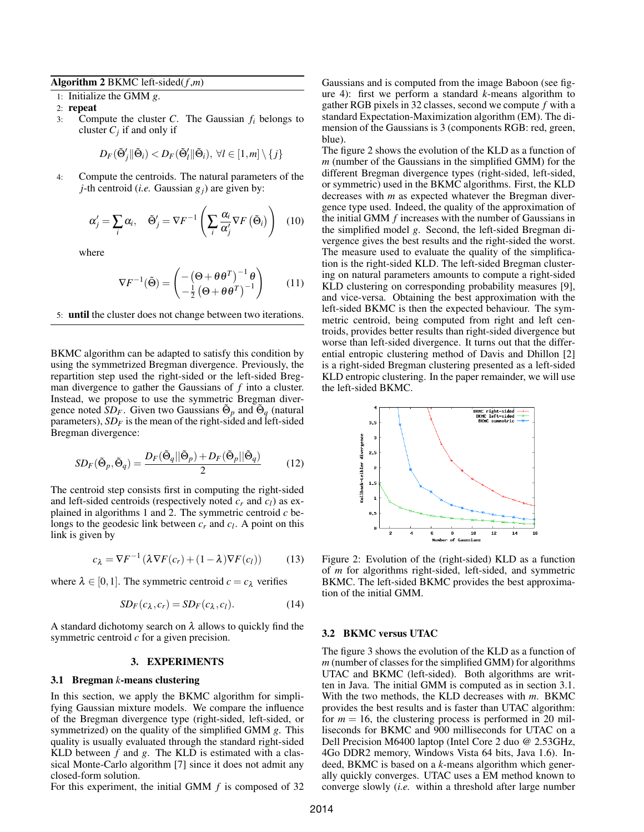## Algorithm 2 BKMC left-sided(*f* ,*m*)

1: Initialize the GMM *g*.

2: repeat

3: Compute the cluster *C*. The Gaussian *f<sup>i</sup>* belongs to cluster  $C_j$  if and only if

$$
D_F(\tilde{\Theta}'_j \| \tilde{\Theta}_i) < D_F(\tilde{\Theta}'_l \| \tilde{\Theta}_i), \ \forall l \in [1, m] \setminus \{j\}
$$

4: Compute the centroids. The natural parameters of the *j*-th centroid (*i.e.* Gaussian *gj*) are given by:

$$
\alpha'_{j} = \sum_{i} \alpha_{i}, \quad \tilde{\Theta}'_{j} = \nabla F^{-1} \left( \sum_{i} \frac{\alpha_{i}}{\alpha'_{j}} \nabla F \left( \tilde{\Theta}_{i} \right) \right) \quad (10)
$$

where

$$
\nabla F^{-1}(\tilde{\Theta}) = \begin{pmatrix} -\left(\Theta + \theta \theta^T\right)^{-1} \theta \\ -\frac{1}{2} \left(\Theta + \theta \theta^T\right)^{-1} \end{pmatrix} \tag{11}
$$

5: until the cluster does not change between two iterations.

BKMC algorithm can be adapted to satisfy this condition by using the symmetrized Bregman divergence. Previously, the repartition step used the right-sided or the left-sided Bregman divergence to gather the Gaussians of *f* into a cluster. Instead, we propose to use the symmetric Bregman divergence noted  $SD_F$ . Given two Gaussians  $\tilde{\Theta}_p$  and  $\tilde{\Theta}_q$  (natural parameters),  $SD<sub>F</sub>$  is the mean of the right-sided and left-sided Bregman divergence:

$$
SD_F(\tilde{\Theta}_p, \tilde{\Theta}_q) = \frac{D_F(\tilde{\Theta}_q || \tilde{\Theta}_p) + D_F(\tilde{\Theta}_p || \tilde{\Theta}_q)}{2}
$$
(12)

The centroid step consists first in computing the right-sided and left-sided centroids (respectively noted  $c_r$  and  $c_l$ ) as explained in algorithms 1 and 2. The symmetric centroid *c* belongs to the geodesic link between  $c_r$  and  $c_l$ . A point on this link is given by

$$
c_{\lambda} = \nabla F^{-1} \left( \lambda \nabla F(c_r) + (1 - \lambda) \nabla F(c_l) \right) \tag{13}
$$

where  $\lambda \in [0,1]$ . The symmetric centroid  $c = c_{\lambda}$  verifies

$$
SD_F(c_\lambda, c_r) = SD_F(c_\lambda, c_l). \tag{14}
$$

A standard dichotomy search on  $\lambda$  allows to quickly find the symmetric centroid *c* for a given precision.

#### 3. EXPERIMENTS

### 3.1 Bregman *k*-means clustering

In this section, we apply the BKMC algorithm for simplifying Gaussian mixture models. We compare the influence of the Bregman divergence type (right-sided, left-sided, or symmetrized) on the quality of the simplified GMM *g*. This quality is usually evaluated through the standard right-sided KLD between *f* and *g*. The KLD is estimated with a classical Monte-Carlo algorithm [7] since it does not admit any closed-form solution.

For this experiment, the initial GMM *f* is composed of 32

Gaussians and is computed from the image Baboon (see figure 4): first we perform a standard *k*-means algorithm to gather RGB pixels in 32 classes, second we compute *f* with a standard Expectation-Maximization algorithm (EM). The dimension of the Gaussians is 3 (components RGB: red, green, blue).

The figure 2 shows the evolution of the KLD as a function of *m* (number of the Gaussians in the simplified GMM) for the different Bregman divergence types (right-sided, left-sided, or symmetric) used in the BKMC algorithms. First, the KLD decreases with *m* as expected whatever the Bregman divergence type used. Indeed, the quality of the approximation of the initial GMM *f* increases with the number of Gaussians in the simplified model *g*. Second, the left-sided Bregman divergence gives the best results and the right-sided the worst. The measure used to evaluate the quality of the simplification is the right-sided KLD. The left-sided Bregman clustering on natural parameters amounts to compute a right-sided KLD clustering on corresponding probability measures [9], and vice-versa. Obtaining the best approximation with the left-sided BKMC is then the expected behaviour. The symmetric centroid, being computed from right and left centroids, provides better results than right-sided divergence but worse than left-sided divergence. It turns out that the differential entropic clustering method of Davis and Dhillon [2] is a right-sided Bregman clustering presented as a left-sided KLD entropic clustering. In the paper remainder, we will use the left-sided BKMC.



Figure 2: Evolution of the (right-sided) KLD as a function of *m* for algorithms right-sided, left-sided, and symmetric BKMC. The left-sided BKMC provides the best approximation of the initial GMM.

## 3.2 BKMC versus UTAC

The figure 3 shows the evolution of the KLD as a function of *m* (number of classes for the simplified GMM) for algorithms UTAC and BKMC (left-sided). Both algorithms are written in Java. The initial GMM is computed as in section 3.1. With the two methods, the KLD decreases with *m*. BKMC provides the best results and is faster than UTAC algorithm: for  $m = 16$ , the clustering process is performed in 20 milliseconds for BKMC and 900 milliseconds for UTAC on a Dell Precision M6400 laptop (Intel Core 2 duo @ 2.53GHz, 4Go DDR2 memory, Windows Vista 64 bits, Java 1.6). Indeed, BKMC is based on a *k*-means algorithm which generally quickly converges. UTAC uses a EM method known to converge slowly (*i.e.* within a threshold after large number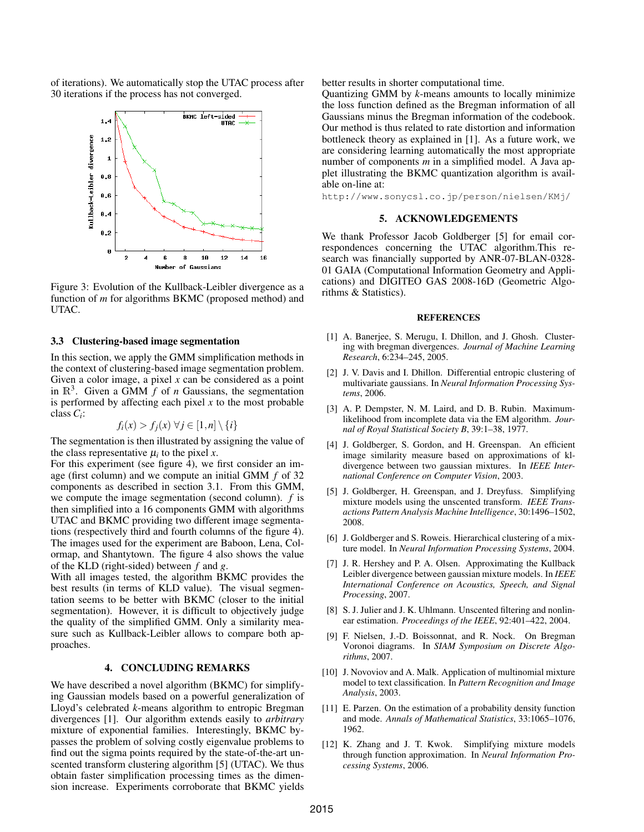of iterations). We automatically stop the UTAC process after 30 iterations if the process has not converged.



Figure 3: Evolution of the Kullback-Leibler divergence as a function of *m* for algorithms BKMC (proposed method) and UTAC.

# 3.3 Clustering-based image segmentation

In this section, we apply the GMM simplification methods in the context of clustering-based image segmentation problem. Given a color image, a pixel *x* can be considered as a point in  $\mathbb{R}^3$ . Given a GMM  $f$  of *n* Gaussians, the segmentation is performed by affecting each pixel *x* to the most probable class *C<sup>i</sup>* :

$$
f_i(x) > f_j(x) \,\forall j \in [1, n] \setminus \{i\}
$$

The segmentation is then illustrated by assigning the value of the class representative  $\mu_i$  to the pixel *x*.

For this experiment (see figure 4), we first consider an image (first column) and we compute an initial GMM *f* of 32 components as described in section 3.1. From this GMM, we compute the image segmentation (second column). *f* is then simplified into a 16 components GMM with algorithms UTAC and BKMC providing two different image segmentations (respectively third and fourth columns of the figure 4). The images used for the experiment are Baboon, Lena, Colormap, and Shantytown. The figure 4 also shows the value of the KLD (right-sided) between *f* and *g*.

With all images tested, the algorithm BKMC provides the best results (in terms of KLD value). The visual segmentation seems to be better with BKMC (closer to the initial segmentation). However, it is difficult to objectively judge the quality of the simplified GMM. Only a similarity measure such as Kullback-Leibler allows to compare both approaches.

### 4. CONCLUDING REMARKS

We have described a novel algorithm (BKMC) for simplifying Gaussian models based on a powerful generalization of Lloyd's celebrated *k*-means algorithm to entropic Bregman divergences [1]. Our algorithm extends easily to *arbitrary* mixture of exponential families. Interestingly, BKMC bypasses the problem of solving costly eigenvalue problems to find out the sigma points required by the state-of-the-art unscented transform clustering algorithm [5] (UTAC). We thus obtain faster simplification processing times as the dimension increase. Experiments corroborate that BKMC yields

better results in shorter computational time.

Quantizing GMM by *k*-means amounts to locally minimize the loss function defined as the Bregman information of all Gaussians minus the Bregman information of the codebook. Our method is thus related to rate distortion and information bottleneck theory as explained in [1]. As a future work, we are considering learning automatically the most appropriate number of components *m* in a simplified model. A Java applet illustrating the BKMC quantization algorithm is available on-line at:

http://www.sonycsl.co.jp/person/nielsen/KMj/

## 5. ACKNOWLEDGEMENTS

We thank Professor Jacob Goldberger [5] for email correspondences concerning the UTAC algorithm.This research was financially supported by ANR-07-BLAN-0328- 01 GAIA (Computational Information Geometry and Applications) and DIGITEO GAS 2008-16D (Geometric Algorithms & Statistics).

#### **REFERENCES**

- [1] A. Banerjee, S. Merugu, I. Dhillon, and J. Ghosh. Clustering with bregman divergences. *Journal of Machine Learning Research*, 6:234–245, 2005.
- [2] J. V. Davis and I. Dhillon. Differential entropic clustering of multivariate gaussians. In *Neural Information Processing Systems*, 2006.
- [3] A. P. Dempster, N. M. Laird, and D. B. Rubin. Maximumlikelihood from incomplete data via the EM algorithm. *Journal of Royal Statistical Society B*, 39:1–38, 1977.
- [4] J. Goldberger, S. Gordon, and H. Greenspan. An efficient image similarity measure based on approximations of kldivergence between two gaussian mixtures. In *IEEE International Conference on Computer Vision*, 2003.
- [5] J. Goldberger, H. Greenspan, and J. Dreyfuss. Simplifying mixture models using the unscented transform. *IEEE Transactions Pattern Analysis Machine Intelligence*, 30:1496–1502, 2008.
- [6] J. Goldberger and S. Roweis. Hierarchical clustering of a mixture model. In *Neural Information Processing Systems*, 2004.
- [7] J. R. Hershey and P. A. Olsen. Approximating the Kullback Leibler divergence between gaussian mixture models. In *IEEE International Conference on Acoustics, Speech, and Signal Processing*, 2007.
- [8] S. J. Julier and J. K. Uhlmann. Unscented filtering and nonlinear estimation. *Proceedings of the IEEE*, 92:401–422, 2004.
- [9] F. Nielsen, J.-D. Boissonnat, and R. Nock. On Bregman Voronoi diagrams. In *SIAM Symposium on Discrete Algorithms*, 2007.
- [10] J. Novoviov and A. Malk. Application of multinomial mixture model to text classification. In *Pattern Recognition and Image Analysis*, 2003.
- [11] E. Parzen. On the estimation of a probability density function and mode. *Annals of Mathematical Statistics*, 33:1065–1076, 1962.
- [12] K. Zhang and J. T. Kwok. Simplifying mixture models through function approximation. In *Neural Information Processing Systems*, 2006.